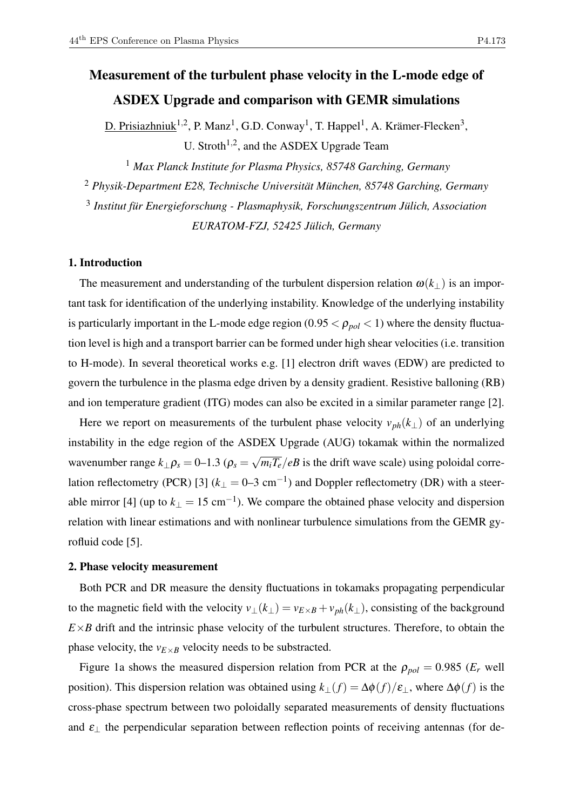# Measurement of the turbulent phase velocity in the L-mode edge of ASDEX Upgrade and comparison with GEMR simulations

D. Prisiazhniuk<sup>1,2</sup>, P. Manz<sup>1</sup>, G.D. Conway<sup>1</sup>, T. Happel<sup>1</sup>, A. Krämer-Flecken<sup>3</sup>, U. Stroth<sup>1,2</sup>, and the ASDEX Upgrade Team

<sup>1</sup> *Max Planck Institute for Plasma Physics, 85748 Garching, Germany*

<sup>2</sup> *Physik-Department E28, Technische Universität München, 85748 Garching, Germany*

3 *Institut für Energieforschung - Plasmaphysik, Forschungszentrum Jülich, Association*

*EURATOM-FZJ, 52425 Jülich, Germany*

## 1. Introduction

The measurement and understanding of the turbulent dispersion relation  $\omega(k_+)$  is an important task for identification of the underlying instability. Knowledge of the underlying instability is particularly important in the L-mode edge region  $(0.95 < \rho_{pol} < 1)$  where the density fluctuation level is high and a transport barrier can be formed under high shear velocities (i.e. transition to H-mode). In several theoretical works e.g. [1] electron drift waves (EDW) are predicted to govern the turbulence in the plasma edge driven by a density gradient. Resistive balloning (RB) and ion temperature gradient (ITG) modes can also be excited in a similar parameter range [2].

Here we report on measurements of the turbulent phase velocity  $v_{ph}(k_{\perp})$  of an underlying instability in the edge region of the ASDEX Upgrade (AUG) tokamak within the normalized wavenumber range  $k_{\perp} \rho_s = 0$ –1.3 ( $\rho_s =$ √  $\sqrt{m_iT_e}/eB$  is the drift wave scale) using poloidal correlation reflectometry (PCR) [3]  $(k_{\perp} = 0-3$  cm<sup>-1</sup>) and Doppler reflectometry (DR) with a steerable mirror [4] (up to  $k_{\perp} = 15 \text{ cm}^{-1}$ ). We compare the obtained phase velocity and dispersion relation with linear estimations and with nonlinear turbulence simulations from the GEMR gyrofluid code [5].

### 2. Phase velocity measurement

Both PCR and DR measure the density fluctuations in tokamaks propagating perpendicular to the magnetic field with the velocity  $v_{\perp}(k_{\perp}) = v_{E \times B} + v_{ph}(k_{\perp})$ , consisting of the background  $E \times B$  drift and the intrinsic phase velocity of the turbulent structures. Therefore, to obtain the phase velocity, the  $v_{E\times B}$  velocity needs to be substracted.

Figure 1a shows the measured dispersion relation from PCR at the  $\rho_{pol} = 0.985$  ( $E_r$  well position). This dispersion relation was obtained using  $k_{\perp}(f) = \Delta \phi(f)/\varepsilon_{\perp}$ , where  $\Delta \phi(f)$  is the cross-phase spectrum between two poloidally separated measurements of density fluctuations and  $\varepsilon_{\perp}$  the perpendicular separation between reflection points of receiving antennas (for de-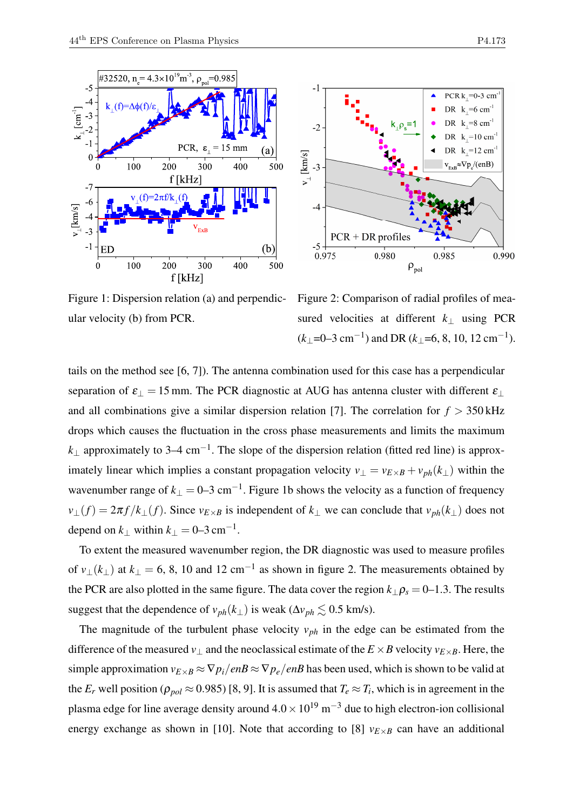



Figure 1: Dispersion relation (a) and perpendicular velocity (b) from PCR.

Figure 2: Comparison of radial profiles of measured velocities at different *k*<sup>⊥</sup> using PCR  $(k_{\perp}$ =0–3 cm<sup>-1</sup>) and DR ( $k_{\perp}$ =6, 8, 10, 12 cm<sup>-1</sup>).

tails on the method see [6, 7]). The antenna combination used for this case has a perpendicular separation of  $\varepsilon_{\perp} = 15$  mm. The PCR diagnostic at AUG has antenna cluster with different  $\varepsilon_{\perp}$ and all combinations give a similar dispersion relation [7]. The correlation for  $f > 350$  kHz drops which causes the fluctuation in the cross phase measurements and limits the maximum *k*<sup>⊥</sup> approximately to 3–4 cm−<sup>1</sup> . The slope of the dispersion relation (fitted red line) is approximately linear which implies a constant propagation velocity  $v_{\perp} = v_{E \times B} + v_{ph}(k_{\perp})$  within the wavenumber range of  $k_{\perp} = 0$ —3 cm<sup>-1</sup>. Figure 1b shows the velocity as a function of frequency  $v_{\perp}(f) = 2\pi f/k_{\perp}(f)$ . Since  $v_{E\times B}$  is independent of  $k_{\perp}$  we can conclude that  $v_{ph}(k_{\perp})$  does not depend on  $k_{\perp}$  within  $k_{\perp} = 0$ –3 cm<sup>-1</sup>.

To extent the measured wavenumber region, the DR diagnostic was used to measure profiles of  $v_{\perp}(k_{\perp})$  at  $k_{\perp} = 6$ , 8, 10 and 12 cm<sup>-1</sup> as shown in figure 2. The measurements obtained by the PCR are also plotted in the same figure. The data cover the region  $k_{\perp} \rho_s = 0$ –1.3. The results suggest that the dependence of  $v_{ph}(k_{\perp})$  is weak ( $\Delta v_{ph} \lesssim 0.5$  km/s).

The magnitude of the turbulent phase velocity  $v_{ph}$  in the edge can be estimated from the difference of the measured  $v_{\perp}$  and the neoclassical estimate of the  $E \times B$  velocity  $v_{E \times B}$ . Here, the simple approximation  $v_{E\times B} \approx \nabla p_i / enB \approx \nabla p_e / enB$  has been used, which is shown to be valid at the  $E_r$  well position ( $\rho_{pol} \approx 0.985$ ) [8, 9]. It is assumed that  $T_e \approx T_i$ , which is in agreement in the plasma edge for line average density around  $4.0 \times 10^{19}$  m<sup>-3</sup> due to high electron-ion collisional energy exchange as shown in [10]. Note that according to [8]  $v_{E\times B}$  can have an additional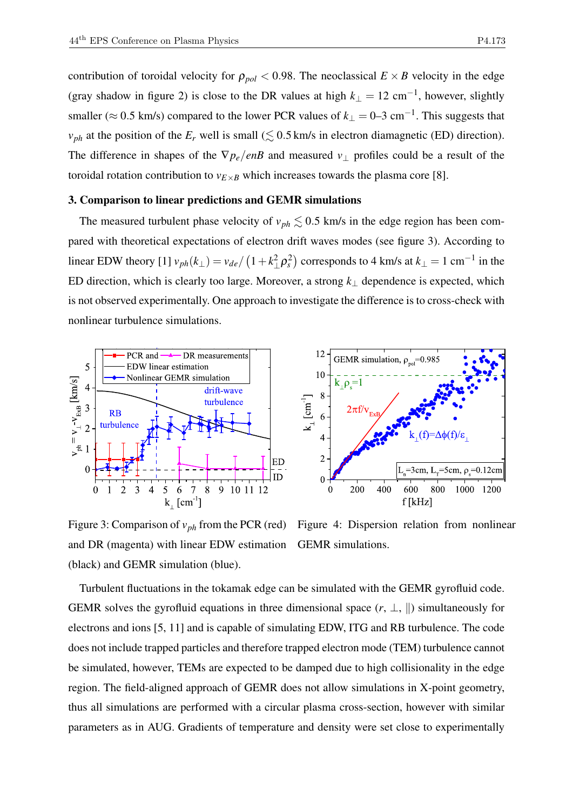contribution of toroidal velocity for  $\rho_{pol} < 0.98$ . The neoclassical  $E \times B$  velocity in the edge (gray shadow in figure 2) is close to the DR values at high  $k_{\perp} = 12 \text{ cm}^{-1}$ , however, slightly smaller ( $\approx$  0.5 km/s) compared to the lower PCR values of  $k_{\perp}$  = 0–3 cm<sup>-1</sup>. This suggests that  $v_{ph}$  at the position of the  $E_r$  well is small ( $\lesssim$  0.5 km/s in electron diamagnetic (ED) direction). The difference in shapes of the  $\nabla p_e/enB$  and measured  $v_{\perp}$  profiles could be a result of the toroidal rotation contribution to  $v_{E\times B}$  which increases towards the plasma core [8].

# 3. Comparison to linear predictions and GEMR simulations

The measured turbulent phase velocity of  $v_{ph} \lesssim 0.5$  km/s in the edge region has been compared with theoretical expectations of electron drift waves modes (see figure 3). According to linear EDW theory [1]  $v_{ph}(k_{\perp}) = v_{de}/(1 + k_{\perp}^2 \rho_s^2)$  corresponds to 4 km/s at  $k_{\perp} = 1$  cm<sup>-1</sup> in the ED direction, which is clearly too large. Moreover, a strong *k*<sup>⊥</sup> dependence is expected, which is not observed experimentally. One approach to investigate the difference is to cross-check with nonlinear turbulence simulations.



Figure 3: Comparison of *vph* from the PCR (red) and DR (magenta) with linear EDW estimation (black) and GEMR simulation (blue).

Figure 4: Dispersion relation from nonlinear GEMR simulations.

Turbulent fluctuations in the tokamak edge can be simulated with the GEMR gyrofluid code. GEMR solves the gyrofluid equations in three dimensional space  $(r, \perp, \parallel)$  simultaneously for electrons and ions [5, 11] and is capable of simulating EDW, ITG and RB turbulence. The code does not include trapped particles and therefore trapped electron mode (TEM) turbulence cannot be simulated, however, TEMs are expected to be damped due to high collisionality in the edge region. The field-aligned approach of GEMR does not allow simulations in X-point geometry, thus all simulations are performed with a circular plasma cross-section, however with similar parameters as in AUG. Gradients of temperature and density were set close to experimentally